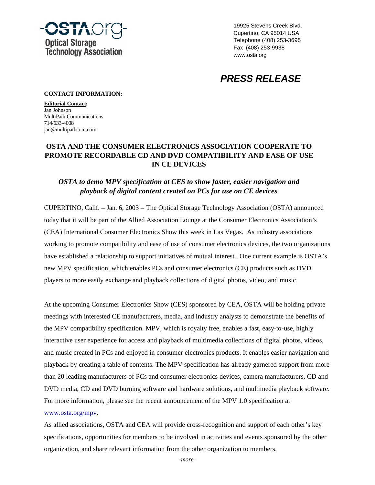

19925 Stevens Creek Blvd. Cupertino, CA 95014 USA Telephone (408) 253-3695 Fax (408) 253-9938 www.osta.org

# *PRESS RELEASE*

#### **CONTACT INFORMATION:**

**Editorial Contact:** Jan Johnson MultiPath Communications 714/633-4008 jan@multipathcom.com

## **OSTA AND THE CONSUMER ELECTRONICS ASSOCIATION COOPERATE TO PROMOTE RECORDABLE CD AND DVD COMPATIBILITY AND EASE OF USE IN CE DEVICES**

## *OSTA to demo MPV specification at CES to show faster, easier navigation and playback of digital content created on PCs for use on CE devices*

CUPERTINO, Calif. – Jan. 6, 2003 – The Optical Storage Technology Association (OSTA) announced today that it will be part of the Allied Association Lounge at the Consumer Electronics Association's (CEA) International Consumer Electronics Show this week in Las Vegas. As industry associations working to promote compatibility and ease of use of consumer electronics devices, the two organizations have established a relationship to support initiatives of mutual interest. One current example is OSTA's new MPV specification, which enables PCs and consumer electronics (CE) products such as DVD players to more easily exchange and playback collections of digital photos, video, and music.

At the upcoming Consumer Electronics Show (CES) sponsored by CEA, OSTA will be holding private meetings with interested CE manufacturers, media, and industry analysts to demonstrate the benefits of the MPV compatibility specification. MPV, which is royalty free, enables a fast, easy-to-use, highly interactive user experience for access and playback of multimedia collections of digital photos, videos, and music created in PCs and enjoyed in consumer electronics products. It enables easier navigation and playback by creating a table of contents. The MPV specification has already garnered support from more than 20 leading manufacturers of PCs and consumer electronics devices, camera manufacturers, CD and DVD media, CD and DVD burning software and hardware solutions, and multimedia playback software. For more information, please see the recent announcement of the MPV 1.0 specification at

#### www.osta.org/mpv.

As allied associations, OSTA and CEA will provide cross-recognition and support of each other's key specifications, opportunities for members to be involved in activities and events sponsored by the other organization, and share relevant information from the other organization to members.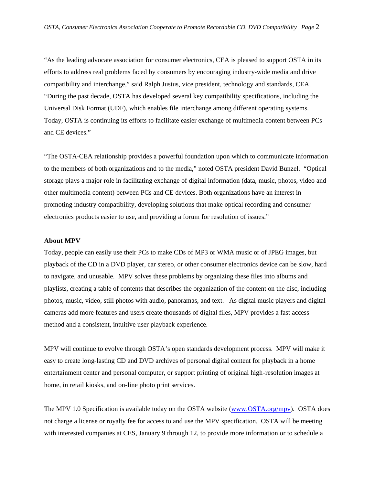"As the leading advocate association for consumer electronics, CEA is pleased to support OSTA in its efforts to address real problems faced by consumers by encouraging industry-wide media and drive compatibility and interchange," said Ralph Justus, vice president, technology and standards, CEA. "During the past decade, OSTA has developed several key compatibility specifications, including the Universal Disk Format (UDF), which enables file interchange among different operating systems. Today, OSTA is continuing its efforts to facilitate easier exchange of multimedia content between PCs and CE devices."

"The OSTA-CEA relationship provides a powerful foundation upon which to communicate information to the members of both organizations and to the media," noted OSTA president David Bunzel. "Optical storage plays a major role in facilitating exchange of digital information (data, music, photos, video and other multimedia content) between PCs and CE devices. Both organizations have an interest in promoting industry compatibility, developing solutions that make optical recording and consumer electronics products easier to use, and providing a forum for resolution of issues."

#### **About MPV**

Today, people can easily use their PCs to make CDs of MP3 or WMA music or of JPEG images, but playback of the CD in a DVD player, car stereo, or other consumer electronics device can be slow, hard to navigate, and unusable. MPV solves these problems by organizing these files into albums and playlists, creating a table of contents that describes the organization of the content on the disc, including photos, music, video, still photos with audio, panoramas, and text. As digital music players and digital cameras add more features and users create thousands of digital files, MPV provides a fast access method and a consistent, intuitive user playback experience.

MPV will continue to evolve through OSTA's open standards development process. MPV will make it easy to create long-lasting CD and DVD archives of personal digital content for playback in a home entertainment center and personal computer, or support printing of original high-resolution images at home, in retail kiosks, and on-line photo print services.

The MPV 1.0 Specification is available today on the OSTA website (www.OSTA.org/mpv). OSTA does not charge a license or royalty fee for access to and use the MPV specification. OSTA will be meeting with interested companies at CES, January 9 through 12, to provide more information or to schedule a